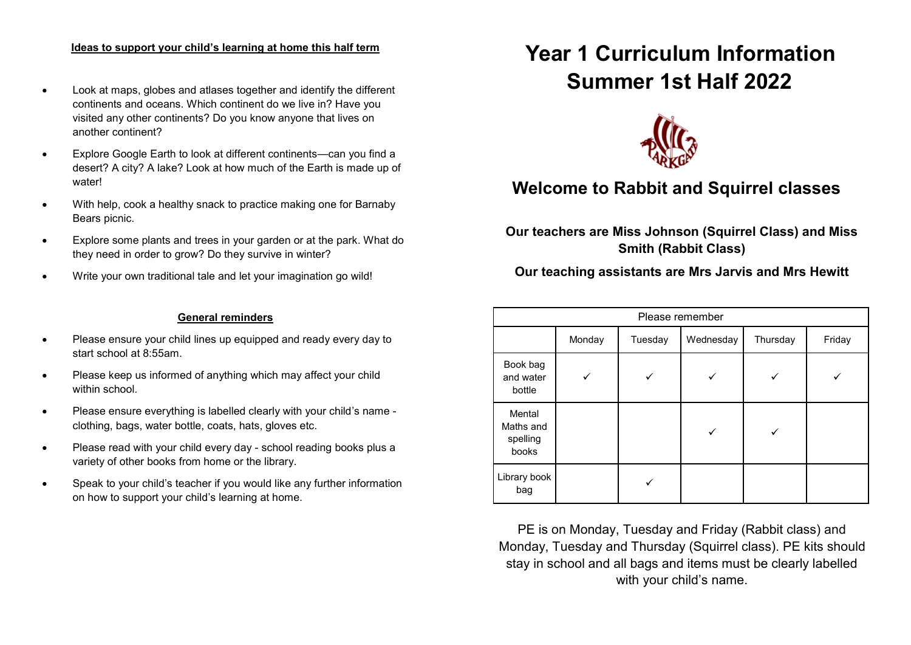#### **Ideas to support your child's learning at home this half term**

- Look at maps, globes and atlases together and identify the different continents and oceans. Which continent do we live in? Have you visited any other continents? Do you know anyone that lives on another continent?
- Explore Google Earth to look at different continents—can you find a desert? A city? A lake? Look at how much of the Earth is made up of water!
- With help, cook a healthy snack to practice making one for Barnaby Bears picnic.
- Explore some plants and trees in your garden or at the park. What do they need in order to grow? Do they survive in winter?
- Write your own traditional tale and let your imagination go wild!

#### **General reminders**

- Please ensure your child lines up equipped and ready every day to start school at 8:55am.
- Please keep us informed of anything which may affect your child within school
- Please ensure everything is labelled clearly with your child's name clothing, bags, water bottle, coats, hats, gloves etc.
- Please read with your child every day school reading books plus a variety of other books from home or the library.
- Speak to your child's teacher if you would like any further information on how to support your child's learning at home.

# **Year 1 Curriculum Information Summer 1st Half 2022**



# **Welcome to Rabbit and Squirrel classes**

**Our teachers are Miss Johnson (Squirrel Class) and Miss Smith (Rabbit Class)**

# **Our teaching assistants are Mrs Jarvis and Mrs Hewitt**

| Please remember                          |        |         |           |          |        |
|------------------------------------------|--------|---------|-----------|----------|--------|
|                                          | Monday | Tuesday | Wednesday | Thursday | Friday |
| Book bag<br>and water<br>bottle          |        |         |           |          |        |
| Mental<br>Maths and<br>spelling<br>books |        |         |           |          |        |
| Library book<br>bag                      |        |         |           |          |        |

PE is on Monday, Tuesday and Friday (Rabbit class) and Monday, Tuesday and Thursday (Squirrel class). PE kits should stay in school and all bags and items must be clearly labelled with your child's name.